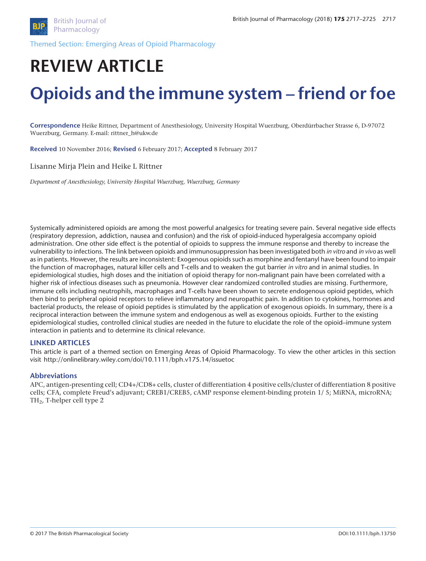

Themed Section: Emerging Areas of Opioid Pharmacology

# **REVIEW ARTICLE Opioids and the immune system – friend or foe**

**Correspondence** Heike Rittner, Department of Anesthesiology, University Hospital Wuerzburg, Oberdürrbacher Strasse 6, D-97072 Wuerzburg, Germany. E-mail: rittner\_h@ukw.de

**Received** 10 November 2016; **Revised** 6 February 2017; **Accepted** 8 February 2017

Lisanne Mirja Plein and Heike L Rittner

*Department of Anesthesiology, University Hospital Wuerzburg, Wuerzburg, Germany*

Systemically administered opioids are among the most powerful analgesics for treating severe pain. Several negative side effects (respiratory depression, addiction, nausea and confusion) and the risk of opioid-induced hyperalgesia accompany opioid administration. One other side effect is the potential of opioids to suppress the immune response and thereby to increase the vulnerability to infections. The link between opioids and immunosuppression has been investigated both *in vitro* and *in vivo* as well as in patients. However, the results are inconsistent: Exogenous opioids such as morphine and fentanyl have been found to impair the function of macrophages, natural killer cells and T-cells and to weaken the gut barrier *in vitro* and in animal studies. In epidemiological studies, high doses and the initiation of opioid therapy for non-malignant pain have been correlated with a higher risk of infectious diseases such as pneumonia. However clear randomized controlled studies are missing. Furthermore, immune cells including neutrophils, macrophages and T-cells have been shown to secrete endogenous opioid peptides, which then bind to peripheral opioid receptors to relieve inflammatory and neuropathic pain. In addition to cytokines, hormones and bacterial products, the release of opioid peptides is stimulated by the application of exogenous opioids. In summary, there is a reciprocal interaction between the immune system and endogenous as well as exogenous opioids. Further to the existing epidemiological studies, controlled clinical studies are needed in the future to elucidate the role of the opioid–immune system interaction in patients and to determine its clinical relevance.

#### **LINKED ARTICLES**

This article is part of a themed section on Emerging Areas of Opioid Pharmacology. To view the other articles in this section visit<http://onlinelibrary.wiley.com/doi/10.1111/bph.v175.14/issuetoc>

#### **Abbreviations**

APC, antigen-presenting cell; CD4+/CD8+ cells, cluster of differentiation 4 positive cells/cluster of differentiation 8 positive cells; CFA, complete Freud's adjuvant; CREB1/CREB5, cAMP response element-binding protein 1/ 5; MiRNA, microRNA; TH2, T-helper cell type 2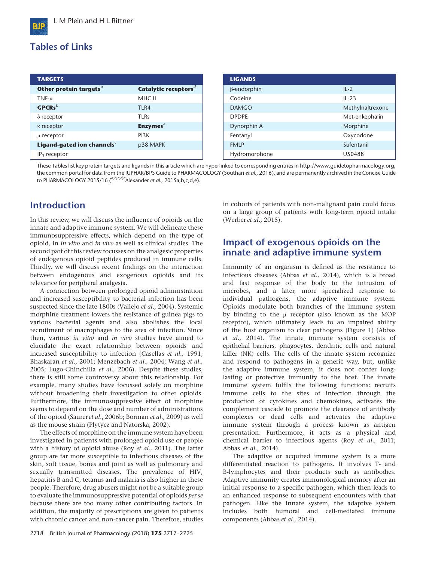# **Tables of Links**

| <b>TARGETS</b>                         |                                  | <b>LIGANDS</b>     |                  |
|----------------------------------------|----------------------------------|--------------------|------------------|
| Other protein targets <sup>a</sup>     | Catalytic receptors <sup>d</sup> | $\beta$ -endorphin | $IL-2$           |
| TNF- $\alpha$                          | MHC II                           | Codeine            | $IL-23$          |
| $GPCRs^b$                              | TLR4                             | <b>DAMGO</b>       | Methylnaltrexone |
| $\delta$ receptor                      | <b>TLRs</b>                      | <b>DPDPE</b>       | Met-enkephalin   |
| $\kappa$ receptor                      | <b>Enzymes</b> $e$               | Dynorphin A        | Morphine         |
| µ receptor                             | PI3K                             | Fentanyl           | Oxycodone        |
| Ligand-gated ion channels <sup>c</sup> | p38 MAPK                         | <b>FMLP</b>        | Sufentanil       |
| $IP_3$ receptor                        |                                  | Hydromorphone      | U50488           |

These Tables list key protein targets and ligands in this article which are hyperlinked to corresponding entries in [http://www.guidetopharmacology.org,](http://onlinelibrary.wiley.com/doi/10.1111/bph.v175.14/issuetoc) the common portal for data from the IUPHAR/BPS Guide to PHARMACOLOGY (Southan *et al*., 2016), and are permanently archived in the Concise Guide to PHARMACOLOGY 2015/16 (<sup>a,b,c,d,e</sup>Alexander *et al.*, 2015a,b,c,d,e).

# **Introduction**

In this review, we will discuss the influence of opioids on the innate and adaptive immune system. We will delineate these immunosuppressive effects, which depend on the type of opioid, in *in vitro* and *in vivo* as well as clinical studies. The second part of this review focusses on the analgesic properties of endogenous opioid peptides produced in immune cells. Thirdly, we will discuss recent findings on the interaction between endogenous and exogenous opioids and its relevance for peripheral analgesia.

A connection between prolonged opioid administration and increased susceptibility to bacterial infection has been suspected since the late 1800s (Vallejo *et al.,* 2004). Systemic morphine treatment lowers the resistance of guinea pigs to various bacterial agents and also abolishes the local recruitment of macrophages to the area of infection. Since then, various *in vitro* and *in vivo* studies have aimed to elucidate the exact relationship between opioids and increased susceptibility to infection (Casellas *et al.,* 1991; Bhaskaran *et al.,* 2001; Menzebach *et al.,* 2004; Wang *et al.,* 2005; Lugo-Chinchilla *et al.,* 2006). Despite these studies, there is still some controversy about this relationship. For example, many studies have focussed solely on morphine without broadening their investigation to other opioids. Furthermore, the immunosuppressive effect of morphine seems to depend on the dose and number of administrations of the opioid (Saurer *et al*., 2006b; Borman *et al.,* 2009) as well as the mouse strain (Plytycz and Natorska, 2002).

The effects of morphine on the immune system have been investigated in patients with prolonged opioid use or people with a history of opioid abuse (Roy *et al.,* 2011). The latter group are far more susceptible to infectious diseases of the skin, soft tissue, bones and joint as well as pulmonary and sexually transmitted diseases. The prevalence of HIV, hepatitis B and C, tetanus and malaria is also higher in these people. Therefore, drug abusers might not be a suitable group to evaluate the immunosuppressive potential of opioids *per se* because there are too many other contributing factors. In addition, the majority of prescriptions are given to patients with chronic cancer and non-cancer pain. Therefore, studies in cohorts of patients with non-malignant pain could focus on a large group of patients with long-term opioid intake (Werber *et al.,* 2015).

## **Impact of exogenous opioids on the innate and adaptive immune system**

Immunity of an organism is defined as the resistance to infectious diseases (Abbas *et al.,* 2014), which is a broad and fast response of the body to the intrusion of microbes, and a later, more specialized response to individual pathogens, the adaptive immune system. Opioids modulate both branches of the immune system by binding to the μ receptor (also known as the MOP receptor), which ultimately leads to an impaired ability of the host organism to clear pathogens (Figure 1) (Abbas *et al.,* 2014). The innate immune system consists of epithelial barriers, phagocytes, dendritic cells and natural killer (NK) cells. The cells of the innate system recognize and respond to [pathogens](https://en.wikipedia.org/wiki/Pathogens) in a generic way, but, unlike the [adaptive immune system,](https://en.wikipedia.org/wiki/Adaptive_immune_system) it does not confer longlasting or protective immunity to the host. The innate immune system fulfils the following functions: recruits immune cells to the sites of infection through the production of [cytokines](https://en.wikipedia.org/wiki/Cytokine) and chemokines, activates the complement cascade to promote the clearance of antibody complexes or dead cells and activates the [adaptive](https://en.wikipedia.org/wiki/Adaptive_immune_system) [immune system](https://en.wikipedia.org/wiki/Adaptive_immune_system) through a process known as antigen presentation. Furthermore, it acts as a physical and chemical barrier to infectious agents (Roy *et al.,* 2011; Abbas *et al.,* 2014).

The adaptive or acquired immune system is a more differentiated reaction to pathogens. It involves T- and B-lymphocytes and their products such as antibodies. Adaptive immunity creates [immunological memory](https://en.wikipedia.org/wiki/Immunological_memory) after an initial response to a specific pathogen, which then leads to an enhanced response to subsequent encounters with that pathogen. Like the innate system, the adaptive system includes both humoral and [cell-mediated immune](https://en.wikipedia.org/wiki/Cell-mediated_immunity) components (Abbas *et al.,* 2014).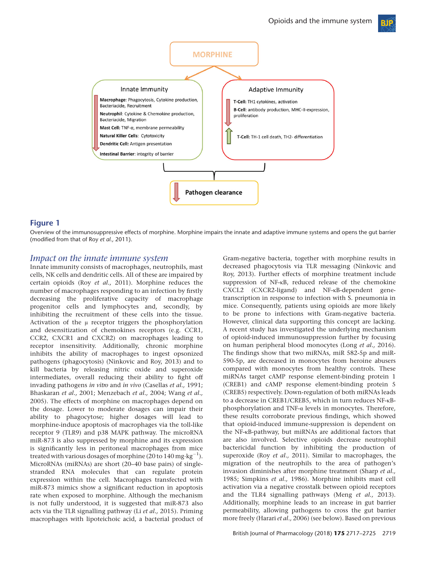

## **Figure 1**

Overview of the immunosuppressive effects of morphine. Morphine impairs the innate and adaptive immune systems and opens the gut barrier (modified from that of Roy *et al.,* 2011).

#### *Impact on the innate immune system*

Innate immunity consists of macrophages, neutrophils, mast cells, NK cells and dendritic cells. All of these are impaired by certain opioids (Roy *et al.,* 2011). Morphine reduces the number of macrophages responding to an infection by firstly decreasing the proliferative capacity of macrophage progenitor cells and lymphocytes and, secondly, by inhibiting the recruitment of these cells into the tissue. Activation of the μ receptor triggers the phosphorylation and desensitization of chemokines receptors (e.g. CCR1, CCR2, CXCR1 and CXCR2) on macrophages leading to receptor insensitivity. Additionally, chronic morphine inhibits the ability of macrophages to ingest opsonized pathogens (phagocytosis) (Ninkovic and Roy, 2013) and to kill bacteria by releasing nitric oxide and superoxide intermediates, overall reducing their ability to fight off invading pathogens *in vitro* and *in vivo* (Casellas *et al.,* 1991; Bhaskaran *et al.,* 2001; Menzebach *et al.,* 2004; Wang *et al.,* 2005). The effects of morphine on macrophages depend on the dosage. Lower to moderate dosages can impair their ability to phagocytose; higher dosages will lead to morphine-induce apoptosis of macrophages via the toll-like receptor 9 (TLR9) and p38 MAPK pathway. The microRNA miR-873 is also suppressed by morphine and its expression is significantly less in peritoneal macrophages from mice treated with various dosages of morphine (20 to 140 mg·kg $^{\rm -1}$ ). MicroRNAs (miRNAs) are short (20–40 base pairs) of singlestranded RNA molecules that can regulate protein expression within the cell. Macrophages transfected with miR-873 mimics show a significant reduction in apoptosis rate when exposed to morphine. Although the mechanism is not fully understood, it is suggested that miR-873 also acts via the TLR signalling pathway (Li *et al.,* 2015). Priming macrophages with lipoteichoic acid, a bacterial product of

Gram-negative bacteria, together with morphine results in decreased phagocytosis via TLR messaging (Ninkovic and Roy, 2013). Further effects of morphine treatment include suppression of NF-κB, reduced release of the chemokine CXCL2 (CXCR2-ligand) and NF-κB-dependent genetranscription in response to infection with S. pneumonia in mice. Consequently, patients using opioids are more likely to be prone to infections with Gram-negative bacteria. However, clinical data supporting this concept are lacking. A recent study has investigated the underlying mechanism of opioid-induced immunosuppression further by focusing on human peripheral blood monocytes (Long *et al.,* 2016). The findings show that two miRNAs, miR 582-5p and miR-590-5p, are decreased in monocytes from heroine abusers compared with monocytes from healthy controls. These miRNAs target cAMP response element-binding protein 1 (CREB1) and cAMP response element-binding protein 5 (CREB5) respectively. Down-regulation of both miRNAs leads to a decrease in CREB1/CREB5, which in turn reduces NF-κBphosphorylation and TNF-α levels in monocytes. Therefore, these results corroborate previous findings, which showed that opioid-induced immune-suppression is dependent on the NF-κB-pathway, but miRNAs are additional factors that are also involved. Selective opioids decrease neutrophil bactericidal function by inhibiting the production of superoxide (Roy *et al.,* 2011). Similar to macrophages, the migration of the neutrophils to the area of pathogen's invasion diminishes after morphine treatment (Sharp *et al.,* 1985; Simpkins *et al.,* 1986). Morphine inhibits mast cell activation via a negative crosstalk between opioid receptors and the TLR4 signalling pathways (Meng *et al.,* 2013). Additionally, morphine leads to an increase in gut barrier permeability, allowing pathogens to cross the gut barrier more freely (Harari *et al.,* 2006) (see below). Based on previous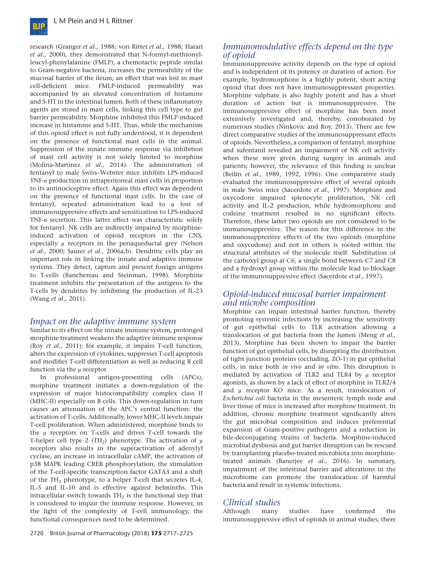

research (Granger *et al.,* 1988; von Ritter *et al.,* 1988; Harari *et al.,* 2000), they demonstrated that N-formyl-methionylleucyl-phenylalanine (FMLP), a chemotactic peptide similar to Gram-negative bacteria, increases the permeability of the mucosal barrier of the ileum; an effect that was lost in mast cell-deficient mice. FMLP-induced permeability was accompanied by an elevated concentration of histamine and 5-HT in the intestinal lumen. Both of these inflammatory agents are stored in mast cells, linking this cell type to gut barrier permeability. Morphine inhibited this FMLP-induced increase in histamine and 5-HT. Thus, while the mechanism of this opioid effect is not fully understood, it is dependent on the presence of functional mast cells in the animal. Suppression of the innate immune response via inhibition of mast cell activity is not solely limited to morphine (Molina-Martinez *et al.,* 2014). The administration of fentanyl to male Swiss–Webster mice inhibits LPS-induced TNF-α production in intraperitoneal mast cells in proportion to its antinociceptive effect. Again this effect was dependent on the presence of functional mast cells. In the case of fentanyl, repeated administration lead to a loss of immunosuppressive effects and sensitization to LPS-induced TNF-α secretion. This latter effect was characteristic solely for fentanyl. NK cells are indirectly impaired by morphineinduced activation of opioid receptors in the CNS, especially μ receptors in the periaqueductal grey (Nelson *et al.,* 2000; Saurer *et al*., 2006a,b). Dendritic cells play an important role in linking the innate and adaptive immune systems. They detect, capture and present foreign antigens to T-cells (Banchereau and Steinman, 1998). Morphine treatment inhibits the presentation of the antigens to the T-cells by dendrites by inhibiting the production of IL-23 (Wang *et al.,* 2011).

## *Impact on the adaptive immune system*

Similar to its effect on the innate immune system, prolonged morphine treatment weakens the adaptive immune response (Roy *et al.,* 2011); for example, it impairs T-cell function, alters the expression of cytokines, suppresses T-cell apoptosis and modifies T-cell differentiation as well as reducing B cell function via the μ receptor.

In professional antigen-presenting cells (APCs), morphine treatment initiates a down-regulation of the expression of major histocompatibility complex class II (MHC-II) especially on B cells. This down-regulation in turn causes an attenuation of the APC's central function: the activation of T-cells. Additionally, lower MHC-II levels impair T-cell proliferation. When administered, morphine binds to the μ receptors on T-cells and drives T-cell towards the T-helper cell type 2 (TH<sub>2</sub>) phenotype. The activation of  $\mu$ receptors also results in the superactivation of adenylyl cyclase, an increase in intracellular cAMP, the activation of p38 MAPK leading CREB phosphorylation, the stimulation of the T-cell-specific transcription factor GATA3 and a shift of the  $TH_2$  phenotype, to a helper T-cell that secretes IL-4, IL-5 and IL-10 and is effective against helminths. This intracellular switch towards  $TH_2$  is the functional step that is considered to impair the immune response. However, in the light of the complexity of T-cell immunology, the functional consequences need to be determined.

Immunosuppressive activity depends on the type of opioid and is independent of its potency or duration of action. For example, hydromorphone is a highly potent, short acting opioid that does not have immunosuppressant properties. Morphine sulphate is also highly potent and has a short duration of action but is immunosuppressive. The immunosuppressive effect of morphine has been most extensively investigated and, thereby, corroborated by numerous studies (Ninkovic and Roy, 2013). There are few direct comparative studies of the immunosuppressant effects of opioids. Nevertheless, a comparison of fentanyl, morphine and sufentanil revealed an impairment of NK cell activity when these were given during surgery in animals and patients; however, the relevance of this finding is unclear (Beilin *et al.,* 1989, 1992, 1996). One comparative study evaluated the immunosuppressive effect of several opioids in male Swiss mice (Sacerdote *et al.,* 1997). Morphine and oxycodone impaired splenocyte proliferation, NK cell activity and IL-2 production, while hydromorphone and codeine treatment resulted in no significant effects. Therefore, these latter two opioids are not considered to be immunosuppressive. The reason for this difference in the immunosuppressive effects of the two opioids (morphine and oxycodone) and not in others is rooted within the structural attributes of the molecule itself. Substitution of the carboxyl group at C6, a single bond between C7 and C8 and a hydroxyl group within the molecule lead to blockage of the immunosuppressive effect (Sacerdote *et al.,* 1997).

## *Opioid-induced mucosal barrier impairment and microbe composition*

Morphine can impair intestinal barrier function, thereby promoting systemic infections by increasing the sensitivity of gut epithelial cells to TLR activation allowing a translocation of gut bacteria from the lumen (Meng *et al.,* 2013). Morphine has been shown to impair the barrier function of gut epithelial cells, by disrupting the distribution of tight junction proteins (occluding, ZO-1) in gut epithelial cells, in mice both *in vivo* and *in vitro*. This disruption is mediated by activation of TLR2 and TLR4 by μ receptor agonists, as shown by a lack of effect of morphine in TLR2/4 and μ receptor KO mice. As a result, translocation of *Escherichia coli* bacteria in the mesenteric lymph node and liver tissue of mice is increased after morphine treatment. In addition, chronic morphine treatment significantly alters the gut microbial composition and induces preferential expansion of Gram-positive pathogens and a reduction in bile-deconjugating strains of bacteria. Morphine-induced microbial dysbiosis and gut barrier disruption can be rescued by transplanting placebo-treated microbiota into morphinetreated animals (Banerjee *et al.,* 2016). In summary, impairment of the intestinal barrier and alterations in the microbiome can promote the translocation of harmful bacteria and result in systemic infections.

## *Clinical studies*

Although many studies have confirmed the immunosuppressive effect of opioids in animal studies, there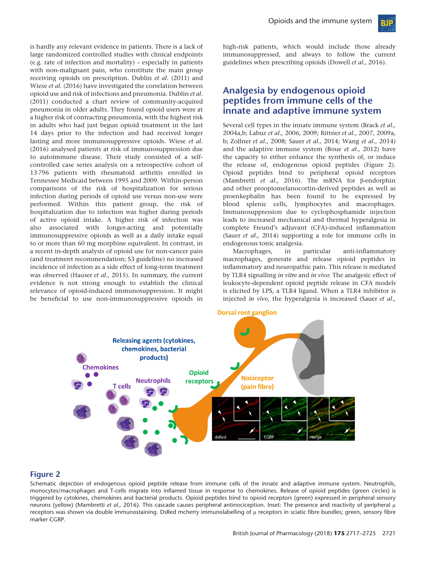is hardly any relevant evidence in patients. There is a lack of large randomized controlled studies with clinical endpoints (e.g. rate of infection and mortality) – especially in patients with non-malignant pain, who constitute the main group receiving opioids on prescription. Dublin *et al*. (2011) and Wiese *et al*. (2016) have investigated the correlation between opioid use and risk of infections and pneumonia. Dublin *et al*. (2011) conducted a chart review of community-acquired pneumonia in older adults. They found opioid users were at a higher risk of contracting pneumonia, with the highest risk in adults who had just begun opioid treatment in the last 14 days prior to the infection and had received longer lasting and more immunosuppressive opioids. Wiese *et al*. (2016) analysed patients at risk of immunosuppression due to autoimmune disease. Their study consisted of a selfcontrolled case series analysis on a retrospective cohort of 13 796 patients with rheumatoid arthritis enrolled in Tennessee Medicaid between 1995 and 2009. Within-person comparisons of the risk of hospitalization for serious infection during periods of opioid use versus non-use were performed. Within this patient group, the risk of hospitalization due to infection was higher during periods of active opioid intake. A higher risk of infection was also associated with longer-acting and potentially immunosuppressive opioids as well as a daily intake equal to or more than 60 mg morphine equivalent. In contrast, in a recent in-depth analysis of opioid use for non-cancer pain (and treatment recommendation; S3 guideline) no increased incidence of infection as a side effect of long-term treatment was observed (Hauser *et al.,* 2015). In summary, the current evidence is not strong enough to establish the clinical relevance of opioid-induced immunosuppression. It might be beneficial to use non-immunosuppressive opioids in high-risk patients, which would include those already immunosuppressed, and always to follow the current guidelines when prescribing opioids (Dowell *et al.,* 2016).

## **Analgesia by endogenous opioid peptides from immune cells of the innate and adaptive immune system**

Several cell types in the innate immune system (Brack *et al.,* 2004a,b; Labuz *et al.,* 2006, 2009; Rittner *et al.,* 2007, 2009a, b; Zollner *et al.,* 2008; Sauer *et al.,* 2014; Wang *et al.,* 2014) and the adaptive immune system (Boue *et al.,* 2012) have the capacity to either enhance the synthesis of, or induce the release of, endogenous opioid peptides (Figure 2). Opioid peptides bind to peripheral opioid receptors (Mambretti *et al.,* 2016). The mRNA for β-endorphin and other proopiomelanocortin-derived peptides as well as proenkephalin has been found to be expressed by blood splenic cells, lymphocytes and macrophages. Immunosuppression due to cyclophosphamide injection leads to increased mechanical and thermal hyperalgesia in complete Freund's adjuvant (CFA)-induced inflammation (Sauer *et al.,* 2014) supporting a role for immune cells in endogenous tonic analgesia.

Macrophages, in particular anti-inflammatory macrophages, generate and release opioid peptides in inflammatory and neuropathic pain. This release is mediated by TLR4 signalling *in vitro* and *in vivo*: The analgesic effect of leukocyte-dependent opioid peptide release in CFA models is elicited by LPS, a TLR4 ligand. When a TLR4 inhibitor is injected *in vivo*, the hyperalgesia is increased (Sauer *et al.,*



#### **Figure 2**

Schematic depiction of endogenous opioid peptide release from immune cells of the innate and adaptive immune system. Neutrophils, monocytes/macrophages and T-cells migrate into inflamed tissue in response to chemokines. Release of opioid peptides (green circles) is triggered by cytokines, chemokines and bacterial products. Opioid peptides bind to opioid receptors (green) expressed in peripheral sensory neurons (yellow) (Mambretti *et al.,* 2016). This cascade causes peripheral antinociception. Inset: The presence and reactivity of peripheral μ receptors was shown via double immunostaining. DsRed mcherry immunolabelling of μ receptors in sciatic fibre bundles; green, sensory fibre marker CGRP.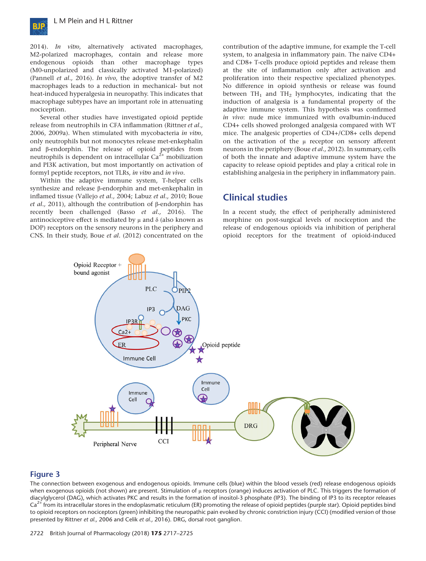

2014). *In vitro*, alternatively activated macrophages, M2-polarized macrophages, contain and release more endogenous opioids than other macrophage types (M0-unpolarized and classically activated M1-polarized) (Pannell *et al.,* 2016). *In vivo*, the adoptive transfer of M2 macrophages leads to a reduction in mechanical- but not heat-induced hyperalgesia in neuropathy. This indicates that macrophage subtypes have an important role in attenuating nociception.

Several other studies have investigated opioid peptide release from neutrophils in CFA inflammation (Rittner *et al.,* 2006, 2009a). When stimulated with mycobacteria *in vitro*, only neutrophils but not monocytes release met-enkephalin and β-endorphin. The release of opioid peptides from neutrophils is dependent on intracellular  $Ca^{2+}$  mobilization and PI3K activation, but most importantly on activation of formyl peptide receptors, not TLRs, *in vitro* and *in vivo*.

Within the adaptive immune system, T-helper cells synthesize and release β-endorphin and met-enkephalin in inflamed tissue (Vallejo *et al.,* 2004; Labuz *et al.,* 2010; Boue *et al.,* 2011), although the contribution of β-endorphin has recently been challenged (Basso *et al.,* 2016). The antinociceptive effect is mediated by μ and δ (also known as DOP) receptors on the sensory neurons in the periphery and CNS. In their study, Boue *et al.* (2012) concentrated on the contribution of the adaptive immune, for example the T-cell system, to analgesia in inflammatory pain. The naïve CD4+ and CD8+ T-cells produce opioid peptides and release them at the site of inflammation only after activation and proliferation into their respective specialized phenotypes. No difference in opioid synthesis or release was found between  $TH_1$  and  $TH_2$  lymphocytes, indicating that the induction of analgesia is a fundamental property of the adaptive immune system. This hypothesis was confirmed *in vivo*: nude mice immunized with ovalbumin-induced CD4+ cells showed prolonged analgesia compared with WT mice. The analgesic properties of CD4+/CD8+ cells depend on the activation of the μ receptor on sensory afferent neurons in the periphery (Boue *et al.,* 2012). In summary, cells of both the innate and adaptive immune system have the capacity to release opioid peptides and play a critical role in establishing analgesia in the periphery in inflammatory pain.

## **Clinical studies**

In a recent study, the effect of peripherally administered morphine on post-surgical levels of nociception and the release of endogenous opioids via inhibition of peripheral opioid receptors for the treatment of opioid-induced



#### **Figure 3**

The connection between exogenous and endogenous opioids. Immune cells (blue) within the blood vessels (red) release endogenous opioids when exogenous opioids (not shown) are present. Stimulation of μ receptors (orange) induces activation of PLC. This triggers the formation of diacylglycerol (DAG), which activates PKC and results in the formation of inositol-3 phosphate (IP3). The binding of IP3 to its receptor releases  $Ca<sup>2+</sup>$  from its intracellular stores in the endoplasmatic reticulum (ER) promoting the release of opioid peptides (purple star). Opioid peptides bind to opioid receptors on nociceptors (green) inhibiting the neuropathic pain evoked by chronic constriction injury (CCI) (modified version of those presented by Rittner *et al.,* 2006 and Celik *et al.,* 2016). DRG, dorsal root ganglion.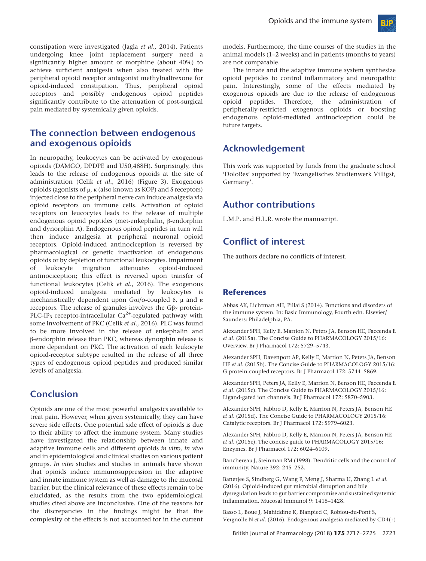

# **The connection between endogenous and exogenous opioids**

In neuropathy, leukocytes can be activated by exogenous opioids (DAMGO, DPDPE and U50,488H). Surprisingly, this leads to the release of endogenous opioids at the site of administration (Celik *et al.,* 2016) (Figure 3). Exogenous opioids (agonists of μ, κ (also known as KOP) and δ receptors) injected close to the peripheral nerve can induce analgesia via opioid receptors on immune cells. Activation of opioid receptors on leucocytes leads to the release of multiple endogenous opioid peptides (met-enkephalin, β-endorphin and dynorphin A). Endogenous opioid peptides in turn will then induce analgesia at peripheral neuronal opioid receptors. Opioid-induced antinociception is reversed by pharmacological or genetic inactivation of endogenous opioids or by depletion of functional leukocytes. Impairment of leukocyte migration attenuates opioid-induced antinociception; this effect is reversed upon transfer of functional leukocytes (Celik *et al.*, 2016). The exogenous opioid-induced analgesia mediated by leukocytes is mechanistically dependent upon Gαi/o-coupled δ, μ and κ receptors. The release of granules involves the Gβγ protein-PLC-IP<sub>3</sub> receptor-intracellular  $Ca^{2+}$ -regulated pathway with some involvement of PKC (Celik *et al.,* 2016). PLC was found to be more involved in the release of enkephalin and β-endorphin release than PKC, whereas dynorphin release is more dependent on PKC. The activation of each leukocyte opioid-receptor subtype resulted in the release of all three types of endogenous opioid peptides and produced similar levels of analgesia.

## **Conclusion**

Opioids are one of the most powerful analgesics available to treat pain. However, when given systemically, they can have severe side effects. One potential side effect of opioids is due to their ability to affect the immune system. Many studies have investigated the relationship between innate and adaptive immune cells and different opioids *in vitro*, *in vivo* and in epidemiological and clinical studies on various patient groups. *In vitro* studies and studies in animals have shown that opioids induce immunosuppression in the adaptive and innate immune system as well as damage to the mucosal barrier, but the clinical relevance of these effects remain to be elucidated, as the results from the two epidemiological studies cited above are inconclusive. One of the reasons for the discrepancies in the findings might be that the complexity of the effects is not accounted for in the current models. Furthermore, the time courses of the studies in the animal models (1–2 weeks) and in patients (months to years) are not comparable.

The innate and the adaptive immune system synthesize opioid peptides to control inflammatory and neuropathic pain. Interestingly, some of the effects mediated by exogenous opioids are due to the release of endogenous opioid peptides. Therefore, the administration of peripherally-restricted exogenous opioids or boosting endogenous opioid-mediated antinociception could be future targets.

# **Acknowledgement**

This work was supported by funds from the graduate school 'DoloRes' supported by 'Evangelisches Studienwerk Villigst, Germany'.

# **Author contributions**

L.M.P. and H.L.R. wrote the manuscript.

# **Conflict of interest**

The authors declare no conflicts of interest.

## **References**

Abbas AK, Lichtman AH, Pillai S (2014). Functions and disorders of the immune system. In: Basic Immunology, Fourth edn. Elsevier/ Saunders: Philadelphia, PA.

Alexander SPH, Kelly E, Marrion N, Peters JA, Benson HE, Faccenda E *et al.* (2015a). The Concise Guide to PHARMACOLOGY 2015/16: Overview. Br J Pharmacol 172: 5729–5743.

Alexander SPH, Davenport AP, Kelly E, Marrion N, Peters JA, Benson HE *et al.* (2015b). The Concise Guide to PHARMACOLOGY 2015/16: G protein-coupled receptors. Br J Pharmacol 172: 5744–5869.

Alexander SPH, Peters JA, Kelly E, Marrion N, Benson HE, Faccenda E *et al.* (2015c). The Concise Guide to PHARMACOLOGY 2015/16: Ligand-gated ion channels. Br J Pharmacol 172: 5870–5903.

Alexander SPH, Fabbro D, Kelly E, Marrion N, Peters JA, Benson HE *et al.* (2015d). The Concise Guide to PHARMACOLOGY 2015/16: Catalytic receptors. Br J Pharmacol 172: 5979–6023.

Alexander SPH, Fabbro D, Kelly E, Marrion N, Peters JA, Benson HE *et al.* (2015e). The concise guide to PHARMACOLOGY 2015/16: Enzymes. Br J Pharmacol 172: 6024–6109.

Banchereau J, Steinman RM (1998). Dendritic cells and the control of immunity. Nature 392: 245–252.

Banerjee S, Sindberg G, Wang F, Meng J, Sharma U, Zhang L *et al.* (2016). Opioid-induced gut microbial disruption and bile dysregulation leads to gut barrier compromise and sustained systemic inflammation. Mucosal Immunol 9: 1418–1428.

Basso L, Boue J, Mahiddine K, Blanpied C, Robiou-du-Pont S, Vergnolle N *et al.* (2016). Endogenous analgesia mediated by CD4(+)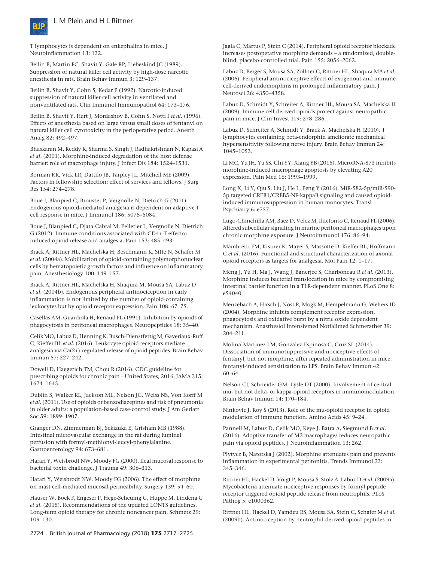



T lymphocytes is dependent on enkephalins in mice. J Neuroinflammation 13: 132.

Beilin B, Martin FC, Shavit Y, Gale RP, Liebeskind JC (1989). Suppression of natural killer cell activity by high-dose narcotic anesthesia in rats. Brain Behav Immun 3: 129–137.

Beilin B, Shavit Y, Cohn S, Kedar E (1992). Narcotic-induced suppression of natural killer cell activity in ventilated and nonventilated rats. Clin Immunol Immunopathol 64: 173–176.

Beilin B, Shavit Y, Hart J, Mordashov B, Cohn S, Notti I *et al.* (1996). Effects of anesthesia based on large versus small doses of fentanyl on natural killer cell cytotoxicity in the perioperative period. Anesth Analg 82: 492–497.

Bhaskaran M, Reddy K, Sharma S, Singh J, Radhakrishnan N, Kapasi A *et al.* (2001). Morphine-induced degradation of the host defense barrier: role of macrophage injury. J Infect Dis 184: 1524–1531.

Borman KR, Vick LR, Dattilo JB, Tarpley JL, Mitchell ME (2009). Factors in fellowship selection: effect of services and fellows. J Surg Res 154: 274–278.

Boue J, Blanpied C, Brousset P, Vergnolle N, Dietrich G (2011). Endogenous opioid-mediated analgesia is dependent on adaptive T cell response in mice. J Immunol 186: 5078–5084.

Boue J, Blanpied C, Djata-Cabral M, Pelletier L, Vergnolle N, Dietrich G (2012). Immune conditions associated with CD4+ T effectorinduced opioid release and analgesia. Pain 153: 485–493.

Brack A, Rittner HL, Machelska H, Beschmann K, Sitte N, Schafer M *et al.* (2004a). Mobilization of opioid-containing polymorphonuclear cells by hematopoietic growth factors and influence on inflammatory pain. Anesthesiology 100: 149–157.

Brack A, Rittner HL, Machelska H, Shaqura M, Mousa SA, Labuz D *et al.* (2004b). Endogenous peripheral antinociception in early inflammation is not limited by the number of opioid-containing leukocytes but by opioid receptor expression. Pain 108: 67–75.

Casellas AM, Guardiola H, Renaud FL (1991). Inhibition by opioids of phagocytosis in peritoneal macrophages. Neuropeptides 18: 35–40.

Celik MO, Labuz D, Henning K, Busch-Dienstfertig M, Gaveriaux-Ruff C, Kieffer BL *et al.* (2016). Leukocyte opioid receptors mediate analgesia via Ca(2+)-regulated release of opioid peptides. Brain Behav Immun 57: 227–242.

Dowell D, Haegerich TM, Chou R (2016). CDC guideline for prescribing opioids for chronic pain – United States, 2016. JAMA 315: 1624–1645.

Dublin S, Walker RL, Jackson ML, Nelson JC, Weiss NS, Von Korff M *et al.* (2011). Use of opioids or benzodiazepines and risk of pneumonia in older adults: a population-based case-control study. J Am Geriatr Soc 59: 1899–1907.

Granger DN, Zimmerman BJ, Sekizuka E, Grisham MB (1988). Intestinal microvascular exchange in the rat during luminal perfusion with formyl-methionyl-leucyl-phenylalanine. Gastroenterology 94: 673–681.

Harari Y, Weisbrodt NW, Moody FG (2000). Ileal mucosal response to bacterial toxin challenge. J Trauma 49: 306–313.

Harari Y, Weisbrodt NW, Moody FG (2006). The effect of morphine on mast cell-mediated mucosal permeability. Surgery 139: 54–60.

Hauser W, Bock F, Engeser P, Hege-Scheuing G, Huppe M, Lindena G *et al.* (2015). Recommendations of the updated LONTS guidelines. Long-term opioid therapy for chronic noncancer pain. Schmerz 29: 109–130.

2724 British Journal of Pharmacology (2018) **175** 2717–2725

Jagla C, Martus P, Stein C (2014). Peripheral opioid receptor blockade increases postoperative morphine demands – a randomized, doubleblind, placebo-controlled trial. Pain 155: 2056–2062.

Labuz D, Berger S, Mousa SA, Zollner C, Rittner HL, Shaqura MA *et al.* (2006). Peripheral antinociceptive effects of exogenous and immune cell-derived endomorphins in prolonged inflammatory pain. J Neurosci 26: 4350–4358.

Labuz D, Schmidt Y, Schreiter A, Rittner HL, Mousa SA, Machelska H (2009). Immune cell-derived opioids protect against neuropathic pain in mice. J Clin Invest 119: 278–286.

Labuz D, Schreiter A, Schmidt Y, Brack A, Machelska H (2010). T lymphocytes containing beta-endorphin ameliorate mechanical hypersensitivity following nerve injury. Brain Behav Immun 24: 1045–1053.

Li MC, Yu JH, Yu SS, Chi YY, Xiang YB (2015). MicroRNA-873 inhibits morphine-induced macrophage apoptosis by elevating A20 expression. Pain Med 16: 1993–1999.

Long X, Li Y, Qiu S, Liu J, He L, Peng Y (2016). MiR-582-5p/miR-590- 5p targeted CREB1/CREB5-NF-kappaB signaling and caused opioidinduced immunosuppression in human monocytes. Transl Psychiatry 6: e757.

Lugo-Chinchilla AM, Baez D, Velez M, Ildefonso C, Renaud FL (2006). Altered subcellular signaling in murine peritoneal macrophages upon chronic morphine exposure. J Neuroimmunol 176: 86–94.

Mambretti EM, Kistner K, Mayer S, Massotte D, Kieffer BL, Hoffmann C *et al.* (2016). Functional and structural characterization of axonal opioid receptors as targets for analgesia. Mol Pain 12: 1–17.

Meng J, Yu H, Ma J, Wang J, Banerjee S, Charboneau R *et al.* (2013). Morphine induces bacterial translocation in mice by compromising intestinal barrier function in a TLR-dependent manner. PLoS One 8: e54040.

Menzebach A, Hirsch J, Nost R, Mogk M, Hempelmann G, Welters ID (2004). Morphine inhibits complement receptor expression, phagocytosis and oxidative burst by a nitric oxide dependent mechanism. Anasthesiol Intensivmed Notfallmed Schmerzther 39: 204–211.

Molina-Martinez LM, Gonzalez-Espinosa C, Cruz SL (2014). Dissociation of immunosuppressive and nociceptive effects of fentanyl, but not morphine, after repeated administration in mice: fentanyl-induced sensitization to LPS. Brain Behav Immun 42: 60–64.

Nelson CJ, Schneider GM, Lysle DT (2000). Involvement of central mu- but not delta- or kappa-opioid receptors in immunomodulation. Brain Behav Immun 14: 170–184.

Ninkovic J, Roy S (2013). Role of the mu-opioid receptor in opioid modulation of immune function. Amino Acids 45: 9–24.

Pannell M, Labuz D, Celik MO, Keye J, Batra A, Siegmund B *et al.* (2016). Adoptive transfer of M2 macrophages reduces neuropathic pain via opioid peptides. J Neuroinflammation 13: 262.

Plytycz B, Natorska J (2002). Morphine attenuates pain and prevents inflammation in experimental peritonitis. Trends Immunol 23: 345–346.

Rittner HL, Hackel D, Voigt P, Mousa S, Stolz A, Labuz D *et al.* (2009a). Mycobacteria attenuate nociceptive responses by formyl peptide receptor triggered opioid peptide release from neutrophils. PLoS Pathog 5: e1000362.

Rittner HL, Hackel D, Yamdeu RS, Mousa SA, Stein C, Schafer M *et al.* (2009b). Antinociception by neutrophil-derived opioid peptides in